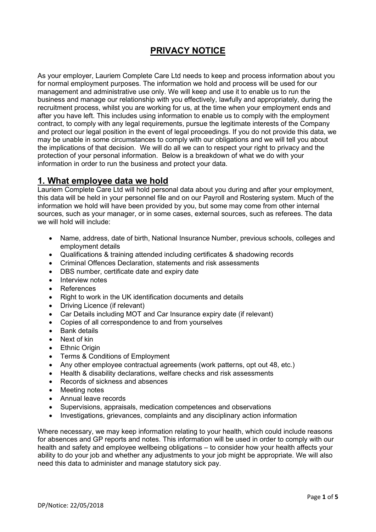# **PRIVACY NOTICE**

As your employer, Lauriem Complete Care Ltd needs to keep and process information about you for normal employment purposes. The information we hold and process will be used for our management and administrative use only. We will keep and use it to enable us to run the business and manage our relationship with you effectively, lawfully and appropriately, during the recruitment process, whilst you are working for us, at the time when your employment ends and after you have left. This includes using information to enable us to comply with the employment contract, to comply with any legal requirements, pursue the legitimate interests of the Company and protect our legal position in the event of legal proceedings. If you do not provide this data, we may be unable in some circumstances to comply with our obligations and we will tell you about the implications of that decision. We will do all we can to respect your right to privacy and the protection of your personal information. Below is a breakdown of what we do with your information in order to run the business and protect your data.

#### **1. What employee data we hold**

Lauriem Complete Care Ltd will hold personal data about you during and after your employment, this data will be held in your personnel file and on our Payroll and Rostering system. Much of the information we hold will have been provided by you, but some may come from other internal sources, such as your manager, or in some cases, external sources, such as referees. The data we will hold will include:

- Name, address, date of birth, National Insurance Number, previous schools, colleges and employment details
- Qualifications & training attended including certificates & shadowing records
- Criminal Offences Declaration, statements and risk assessments
- DBS number, certificate date and expiry date
- Interview notes
- References
- Right to work in the UK identification documents and details
- Driving Licence (if relevant)
- Car Details including MOT and Car Insurance expiry date (if relevant)
- Copies of all correspondence to and from yourselves
- **Bank details**
- Next of kin
- **Ethnic Origin**
- Terms & Conditions of Employment
- Any other employee contractual agreements (work patterns, opt out 48, etc.)
- Health & disability declarations, welfare checks and risk assessments
- Records of sickness and absences
- Meeting notes
- Annual leave records
- Supervisions, appraisals, medication competences and observations
- Investigations, grievances, complaints and any disciplinary action information

Where necessary, we may keep information relating to your health, which could include reasons for absences and GP reports and notes. This information will be used in order to comply with our health and safety and employee wellbeing obligations – to consider how your health affects your ability to do your job and whether any adjustments to your job might be appropriate. We will also need this data to administer and manage statutory sick pay.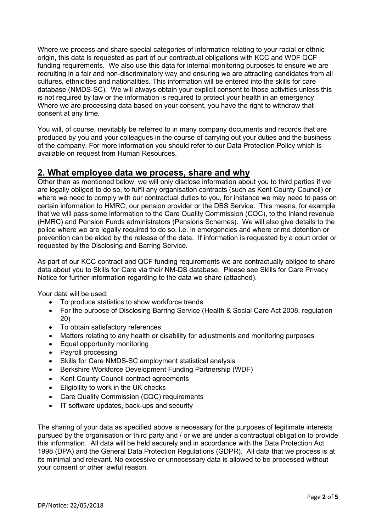Where we process and share special categories of information relating to your racial or ethnic origin, this data is requested as part of our contractual obligations with KCC and WDF QCF funding requirements. We also use this data for internal monitoring purposes to ensure we are recruiting in a fair and non-discriminatory way and ensuring we are attracting candidates from all cultures, ethnicities and nationalities. This information will be entered into the skills for care database (NMDS-SC). We will always obtain your explicit consent to those activities unless this is not required by law or the information is required to protect your health in an emergency. Where we are processing data based on your consent, you have the right to withdraw that consent at any time.

You will, of course, inevitably be referred to in many company documents and records that are produced by you and your colleagues in the course of carrying out your duties and the business of the company. For more information you should refer to our Data Protection Policy which is available on request from Human Resources.

#### **2. What employee data we process, share and why**

Other than as mentioned below, we will only disclose information about you to third parties if we are legally obliged to do so, to fulfil any organisation contracts (such as Kent County Council) or where we need to comply with our contractual duties to you, for instance we may need to pass on certain information to HMRC, our pension provider or the DBS Service. This means, for example that we will pass some information to the Care Quality Commission (CQC), to the inland revenue (HMRC) and Pension Funds administrators (Pensions Schemes). We will also give details to the police where we are legally required to do so, i.e. in emergencies and where crime detention or prevention can be aided by the release of the data. If information is requested by a court order or requested by the Disclosing and Barring Service.

As part of our KCC contract and QCF funding requirements we are contractually obliged to share data about you to Skills for Care via their NM-DS database. Please see Skills for Care Privacy Notice for further information regarding to the data we share (attached).

Your data will be used:

- To produce statistics to show workforce trends
- For the purpose of Disclosing Barring Service (Health & Social Care Act 2008, regulation 20)
- To obtain satisfactory references
- Matters relating to any health or disability for adjustments and monitoring purposes
- Equal opportunity monitoring
- Payroll processing
- Skills for Care NMDS-SC employment statistical analysis
- Berkshire Workforce Development Funding Partnership (WDF)
- Kent County Council contract agreements
- Eligibility to work in the UK checks
- Care Quality Commission (CQC) requirements
- IT software updates, back-ups and security

The sharing of your data as specified above is necessary for the purposes of legitimate interests pursued by the organisation or third party and / or we are under a contractual obligation to provide this information. All data will be held securely and in accordance with the Data Protection Act 1998 (DPA) and the General Data Protection Regulations (GDPR). All data that we process is at its minimal and relevant. No excessive or unnecessary data is allowed to be processed without your consent or other lawful reason.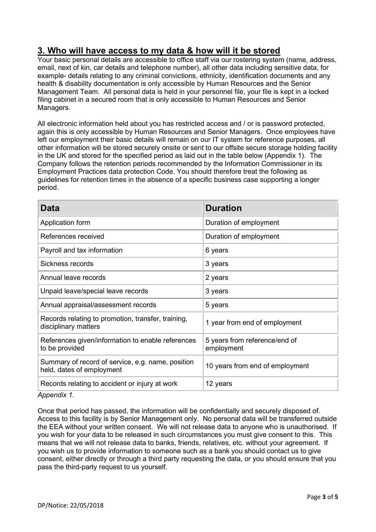# **3. Who will have access to my data & how will it be stored**

Your basic personal details are accessible to office staff via our rostering system (name, address, email, next of kin, car details and telephone number), all other data including sensitive data, for example- details relating to any criminal convictions, ethnicity, identification documents and any health & disability documentation is only accessible by Human Resources and the Senior Management Team. All personal data is held in your personnel file, your file is kept in a locked filing cabinet in a secured room that is only accessible to Human Resources and Senior Managers.

All electronic information held about you has restricted access and / or is password protected, again this is only accessible by Human Resources and Senior Managers. Once employees have left our employment their basic details will remain on our IT system for reference purposes, all other information will be stored securely onsite or sent to our offsite secure storage holding facility in the UK and stored for the specified period as laid out in the table below (Appendix 1). The Company follows the retention periods recommended by the Information Commissioner in its Employment Practices data protection Code. You should therefore treat the following as guidelines for retention times in the absence of a specific business case supporting a longer period.

| Data                                                                           | <b>Duration</b>                             |
|--------------------------------------------------------------------------------|---------------------------------------------|
| Application form                                                               | Duration of employment                      |
| References received                                                            | Duration of employment                      |
| Payroll and tax information                                                    | 6 years                                     |
| Sickness records                                                               | 3 years                                     |
| Annual leave records                                                           | 2 years                                     |
| Unpaid leave/special leave records                                             | 3 years                                     |
| Annual appraisal/assessment records                                            | 5 years                                     |
| Records relating to promotion, transfer, training,<br>disciplinary matters     | 1 year from end of employment               |
| References given/information to enable references<br>to be provided            | 5 years from reference/end of<br>employment |
| Summary of record of service, e.g. name, position<br>held, dates of employment | 10 years from end of employment             |
| Records relating to accident or injury at work                                 | 12 years                                    |

*Appendix 1.*

Once that period has passed, the information will be confidentially and securely disposed of. Access to this facility is by Senior Management only. No personal data will be transferred outside the EEA without your written consent. We will not release data to anyone who is unauthorised. If you wish for your data to be released in such circumstances you must give consent to this. This means that we will not release data to banks, friends, relatives, etc. without your agreement. If you wish us to provide information to someone such as a bank you should contact us to give consent, either directly or through a third party requesting the data, or you should ensure that you pass the third-party request to us yourself.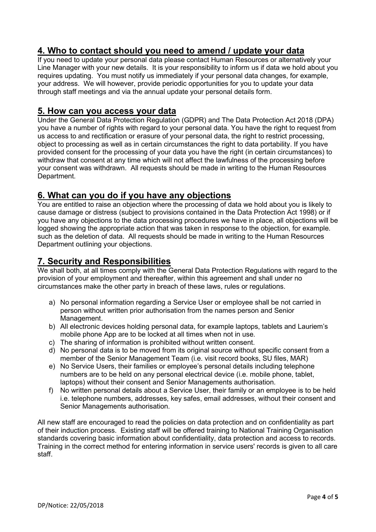# **4. Who to contact should you need to amend / update your data**

If you need to update your personal data please contact Human Resources or alternatively your Line Manager with your new details. It is your responsibility to inform us if data we hold about you requires updating. You must notify us immediately if your personal data changes, for example, your address. We will however, provide periodic opportunities for you to update your data through staff meetings and via the annual update your personal details form.

#### **5. How can you access your data**

Under the General Data Protection Regulation (GDPR) and The Data Protection Act 2018 (DPA) you have a number of rights with regard to your personal data. You have the right to request from us access to and rectification or erasure of your personal data, the right to restrict processing, object to processing as well as in certain circumstances the right to data portability. If you have provided consent for the processing of your data you have the right (in certain circumstances) to withdraw that consent at any time which will not affect the lawfulness of the processing before your consent was withdrawn. All requests should be made in writing to the Human Resources Department.

#### **6. What can you do if you have any objections**

You are entitled to raise an objection where the processing of data we hold about you is likely to cause damage or distress (subject to provisions contained in the Data Protection Act 1998) or if you have any objections to the data processing procedures we have in place, all objections will be logged showing the appropriate action that was taken in response to the objection, for example. such as the deletion of data. All requests should be made in writing to the Human Resources Department outlining your objections.

## **7. Security and Responsibilities**

We shall both, at all times comply with the General Data Protection Regulations with regard to the provision of your employment and thereafter, within this agreement and shall under no circumstances make the other party in breach of these laws, rules or regulations.

- a) No personal information regarding a Service User or employee shall be not carried in person without written prior authorisation from the names person and Senior Management.
- b) All electronic devices holding personal data, for example laptops, tablets and Lauriem's mobile phone App are to be locked at all times when not in use.
- c) The sharing of information is prohibited without written consent.
- d) No personal data is to be moved from its original source without specific consent from a member of the Senior Management Team (i.e. visit record books, SU files, MAR)
- e) No Service Users, their families or employee's personal details including telephone numbers are to be held on any personal electrical device (i.e. mobile phone, tablet, laptops) without their consent and Senior Managements authorisation.
- f) No written personal details about a Service User, their family or an employee is to be held i.e. telephone numbers, addresses, key safes, email addresses, without their consent and Senior Managements authorisation.

All new staff are encouraged to read the policies on data protection and on confidentiality as part of their induction process. Existing staff will be offered training to National Training Organisation standards covering basic information about confidentiality, data protection and access to records. Training in the correct method for entering information in service users' records is given to all care staff.